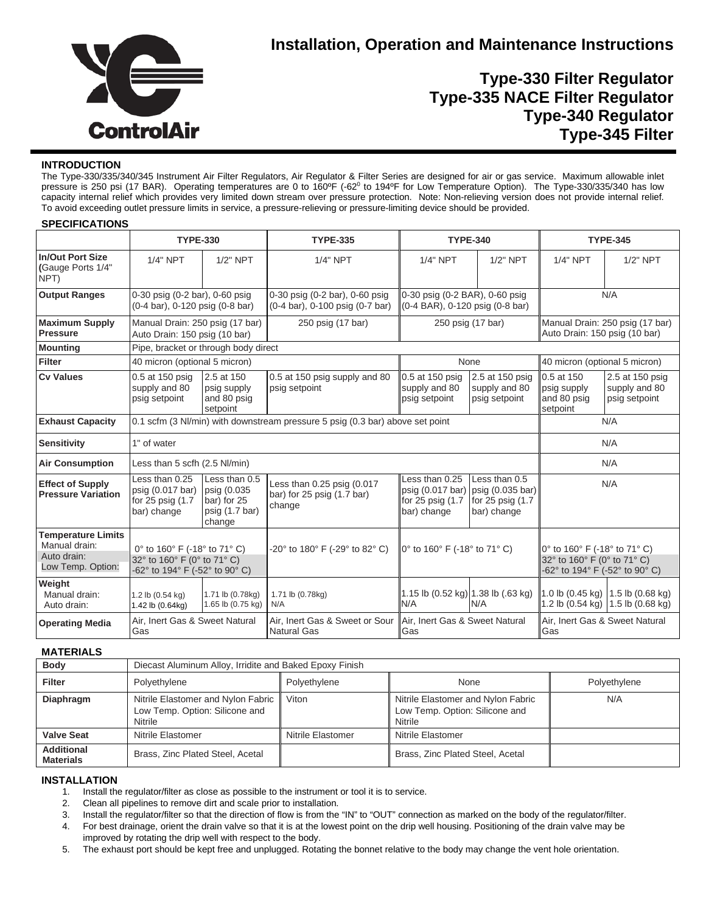

# **Installation, Operation and Maintenance Instructions**

## **Type-330 Filter Regulator Type-335 NACE Filter Regulator Type-340 Regulator Type-345 Filter**

### **INTRODUCTION**

The Type-330/335/340/345 Instrument Air Filter Regulators, Air Regulator & Filter Series are designed for air or gas service. Maximum allowable inlet pressure is 250 psi (17 BAR). Operating temperatures are 0 to 160°F (-62° to 194°F for Low Temperature Option). The Type-330/335/340 has low capacity internal relief which provides very limited down stream over pressure protection. Note: Non-relieving version does not provide internal relief. To avoid exceeding outlet pressure limits in service, a pressure-relieving or pressure-limiting device should be provided.

### **SPECIFICATIONS**

|                                                                                | <b>TYPE-330</b>                                                                                                                                       |                                                      | <b>TYPE-335</b>                                                    | <b>TYPE-340</b>                                                            |                                                                       | <b>TYPE-345</b>                                                                               |                                                   |
|--------------------------------------------------------------------------------|-------------------------------------------------------------------------------------------------------------------------------------------------------|------------------------------------------------------|--------------------------------------------------------------------|----------------------------------------------------------------------------|-----------------------------------------------------------------------|-----------------------------------------------------------------------------------------------|---------------------------------------------------|
| <b>In/Out Port Size</b><br>(Gauge Ports 1/4"<br>NPT)                           | $1/4"$ NPT                                                                                                                                            | $1/2"$ NPT                                           | 1/4" NPT                                                           | $1/4"$ NPT                                                                 | $1/2"$ NPT                                                            | $1/4"$ NPT                                                                                    | $1/2"$ NPT                                        |
| <b>Output Ranges</b>                                                           | 0-30 psig (0-2 bar), 0-60 psig<br>(0-4 bar), 0-120 psig (0-8 bar)                                                                                     |                                                      | 0-30 psig (0-2 bar), 0-60 psig<br>(0-4 bar), 0-100 psig (0-7 bar)  | 0-30 psig (0-2 BAR), 0-60 psig<br>(0-4 BAR), 0-120 psig (0-8 bar)          |                                                                       | N/A                                                                                           |                                                   |
| <b>Maximum Supply</b><br><b>Pressure</b>                                       | Manual Drain: 250 psig (17 bar)<br>Auto Drain: 150 psig (10 bar)                                                                                      |                                                      | 250 psig (17 bar)                                                  | 250 psig (17 bar)                                                          |                                                                       | Manual Drain: 250 psig (17 bar)<br>Auto Drain: 150 psig (10 bar)                              |                                                   |
| <b>Mounting</b>                                                                | Pipe, bracket or through body direct                                                                                                                  |                                                      |                                                                    |                                                                            |                                                                       |                                                                                               |                                                   |
| <b>Filter</b>                                                                  | 40 micron (optional 5 micron)                                                                                                                         |                                                      |                                                                    | None                                                                       |                                                                       | 40 micron (optional 5 micron)                                                                 |                                                   |
| <b>Cv Values</b>                                                               | 0.5 at 150 psig<br>supply and 80<br>psig setpoint                                                                                                     | 2.5 at 150<br>psig supply<br>and 80 psig<br>setpoint | 0.5 at 150 psig supply and 80<br>psig setpoint                     | 0.5 at 150 psig<br>supply and 80<br>psig setpoint                          | 2.5 at 150 psig<br>supply and 80<br>psig setpoint                     | 0.5 at 150<br>psig supply<br>and 80 psig<br>setpoint                                          | 2.5 at 150 psig<br>supply and 80<br>psig setpoint |
| <b>Exhaust Capacity</b>                                                        | 0.1 scfm (3 Nl/min) with downstream pressure 5 psig (0.3 bar) above set point<br>N/A                                                                  |                                                      |                                                                    |                                                                            |                                                                       |                                                                                               |                                                   |
| <b>Sensitivity</b>                                                             | 1" of water<br>N/A                                                                                                                                    |                                                      |                                                                    |                                                                            |                                                                       |                                                                                               |                                                   |
| <b>Air Consumption</b>                                                         | N/A<br>Less than 5 scfh (2.5 NI/min)                                                                                                                  |                                                      |                                                                    |                                                                            |                                                                       |                                                                                               |                                                   |
| <b>Effect of Supply</b><br><b>Pressure Variation</b>                           | Less than 0.25<br>Less than 0.5<br>psig (0.017 bar)<br>psig (0.035<br>for $25$ psig $(1.7)$<br>bar) for 25<br>bar) change<br>psig (1.7 bar)<br>change |                                                      | Less than 0.25 psig (0.017<br>bar) for 25 psig (1.7 bar)<br>change | Less than 0.25<br>psig (0.017 bar)<br>for $25$ psig $(1.7)$<br>bar) change | Less than 0.5<br>psig (0.035 bar)<br>for 25 psig (1.7)<br>bar) change | N/A                                                                                           |                                                   |
| <b>Temperature Limits</b><br>Manual drain:<br>Auto drain:<br>Low Temp. Option: | 0° to 160° F (-18° to 71° C)<br>32° to 160° F (0° to 71° C)<br>-62° to 194° F (-52° to 90° C)                                                         |                                                      | -20° to 180° F (-29° to 82° C)                                     | 0° to 160° F (-18° to 71° C)                                               |                                                                       | 0° to 160° F (-18° to 71° C)<br>32° to 160° F (0° to 71° C)<br>-62° to 194° F (-52° to 90° C) |                                                   |
| Weight<br>Manual drain:<br>Auto drain:                                         | 1.2 lb (0.54 kg)<br>1.42 lb (0.64kg)                                                                                                                  | 1.71 lb (0.78kg)<br>1.65 lb (0.75 kg)                | 1.71 lb (0.78kg)<br>N/A                                            | 1.15 lb (0.52 kg) 1.38 lb (.63 kg)<br>N/A                                  | N/A                                                                   | 1.0 lb (0.45 kg)<br>1.2 lb (0.54 kg)                                                          | 1.5 lb $(0.68$ kg)<br>1.5 lb $(0.68$ kg)          |
| <b>Operating Media</b>                                                         | Air. Inert Gas & Sweet Natural<br>Gas                                                                                                                 |                                                      | Air. Inert Gas & Sweet or Sour<br><b>Natural Gas</b>               | Air. Inert Gas & Sweet Natural<br>Gas                                      |                                                                       | Air, Inert Gas & Sweet Natural<br>Gas                                                         |                                                   |

### **MATERIALS**

| <b>Body</b>                           | Diecast Aluminum Alloy, Irridite and Baked Epoxy Finish                         |                   |                                                                                 |              |  |
|---------------------------------------|---------------------------------------------------------------------------------|-------------------|---------------------------------------------------------------------------------|--------------|--|
| <b>Filter</b>                         | Polyethylene                                                                    | Polyethylene      | None                                                                            | Polyethylene |  |
| Diaphragm                             | Nitrile Elastomer and Nylon Fabric<br>Low Temp. Option: Silicone and<br>Nitrile | Viton             | Nitrile Elastomer and Nylon Fabric<br>Low Temp. Option: Silicone and<br>Nitrile | N/A          |  |
| <b>Valve Seat</b>                     | Nitrile Elastomer                                                               | Nitrile Elastomer | Nitrile Elastomer                                                               |              |  |
| <b>Additional</b><br><b>Materials</b> | Brass, Zinc Plated Steel, Acetal                                                |                   | Brass, Zinc Plated Steel, Acetal                                                |              |  |

### **INSTALLATION**

- 1. Install the regulator/filter as close as possible to the instrument or tool it is to service.
- 2. Clean all pipelines to remove dirt and scale prior to installation.
- 3. Install the regulator/filter so that the direction of flow is from the "IN" to "OUT" connection as marked on the body of the regulator/filter.
- 4. For best drainage, orient the drain valve so that it is at the lowest point on the drip well housing. Positioning of the drain valve may be improved by rotating the drip well with respect to the body.
- 5. The exhaust port should be kept free and unplugged. Rotating the bonnet relative to the body may change the vent hole orientation.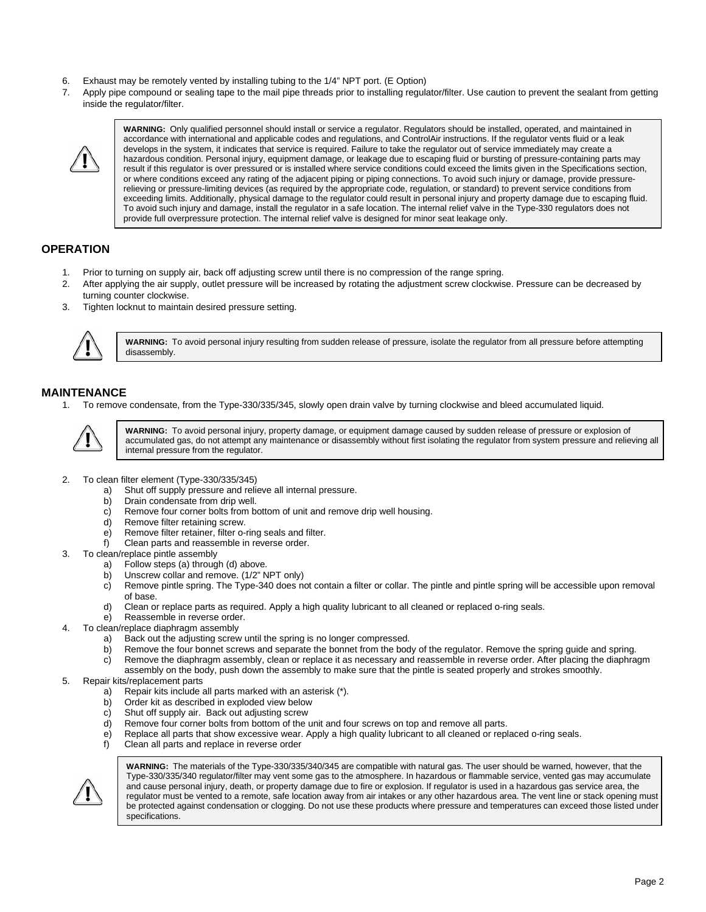- 6. Exhaust may be remotely vented by installing tubing to the 1/4" NPT port. (E Option)
- 7. Apply pipe compound or sealing tape to the mail pipe threads prior to installing regulator/filter. Use caution to prevent the sealant from getting inside the regulator/filter.



**WARNING:** Only qualified personnel should install or service a regulator. Regulators should be installed, operated, and maintained in accordance with international and applicable codes and regulations, and ControlAir instructions. If the regulator vents fluid or a leak develops in the system, it indicates that service is required. Failure to take the regulator out of service immediately may create a hazardous condition. Personal injury, equipment damage, or leakage due to escaping fluid or bursting of pressure-containing parts may result if this regulator is over pressured or is installed where service conditions could exceed the limits given in the Specifications section, or where conditions exceed any rating of the adjacent piping or piping connections. To avoid such injury or damage, provide pressurerelieving or pressure-limiting devices (as required by the appropriate code, regulation, or standard) to prevent service conditions from exceeding limits. Additionally, physical damage to the regulator could result in personal injury and property damage due to escaping fluid. To avoid such injury and damage, install the regulator in a safe location. The internal relief valve in the Type-330 regulators does not provide full overpressure protection. The internal relief valve is designed for minor seat leakage only.

## **OPERATION**

- 1. Prior to turning on supply air, back off adjusting screw until there is no compression of the range spring.
- 2. After applying the air supply, outlet pressure will be increased by rotating the adjustment screw clockwise. Pressure can be decreased by turning counter clockwise.
- 3. Tighten locknut to maintain desired pressure setting.



**WARNING:** To avoid personal injury resulting from sudden release of pressure, isolate the regulator from all pressure before attempting disassembly.

# **MAINTENANCE**

1. To remove condensate, from the Type-330/335/345, slowly open drain valve by turning clockwise and bleed accumulated liquid.



**WARNING:** To avoid personal injury, property damage, or equipment damage caused by sudden release of pressure or explosion of accumulated gas, do not attempt any maintenance or disassembly without first isolating the regulator from system pressure and relieving all internal pressure from the regulator.

- 2. To clean filter element (Type-330/335/345)
	- a) Shut off supply pressure and relieve all internal pressure.
	- b) Drain condensate from drip well.
	- c) Remove four corner bolts from bottom of unit and remove drip well housing.
	- d) Remove filter retaining screw.
	- e) Remove filter retainer, filter o-ring seals and filter.
	- f) Clean parts and reassemble in reverse order.
- 3. To clean/replace pintle assembly
	- a) Follow steps (a) through (d) above.
	- b) Unscrew collar and remove. (1/2" NPT only)
	- c) Remove pintle spring. The Type-340 does not contain a filter or collar. The pintle and pintle spring will be accessible upon removal of base.
	- d) Clean or replace parts as required. Apply a high quality lubricant to all cleaned or replaced o-ring seals.
	- e) Reassemble in reverse order.
- 4. To clean/replace diaphragm assembly
	- a) Back out the adjusting screw until the spring is no longer compressed.
	- b) Remove the four bonnet screws and separate the bonnet from the body of the regulator. Remove the spring guide and spring.
	- c) Remove the diaphragm assembly, clean or replace it as necessary and reassemble in reverse order. After placing the diaphragm
	- assembly on the body, push down the assembly to make sure that the pintle is seated properly and strokes smoothly.

### 5. Repair kits/replacement parts

- a) Repair kits include all parts marked with an asterisk (\*).
- Order kit as described in exploded view below
- c) Shut off supply air. Back out adjusting screw<br>d) Remove four corner bolts from bottom of the i
- Remove four corner bolts from bottom of the unit and four screws on top and remove all parts.
- e) Replace all parts that show excessive wear. Apply a high quality lubricant to all cleaned or replaced o-ring seals.
	- Clean all parts and replace in reverse order



**WARNING:** The materials of the Type-330/335/340/345 are compatible with natural gas. The user should be warned, however, that the Type-330/335/340 regulator/filter may vent some gas to the atmosphere. In hazardous or flammable service, vented gas may accumulate and cause personal injury, death, or property damage due to fire or explosion. If regulator is used in a hazardous gas service area, the regulator must be vented to a remote, safe location away from air intakes or any other hazardous area. The vent line or stack opening must be protected against condensation or clogging. Do not use these products where pressure and temperatures can exceed those listed under specifications.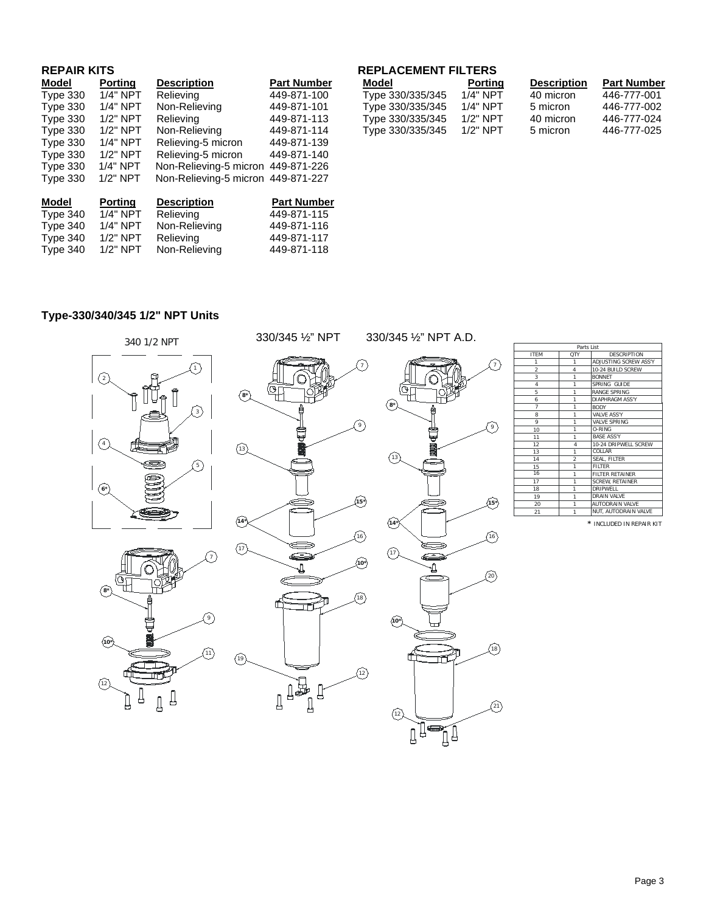| <b>REPAIR KITS</b> |                |                        |                    |  |  |
|--------------------|----------------|------------------------|--------------------|--|--|
| Model              | <b>Porting</b> | <b>Description</b>     | <b>Part Number</b> |  |  |
| <b>Type 330</b>    | $1/4"$ NPT     | Relieving              | 449-871-100        |  |  |
| <b>Type 330</b>    | $1/4"$ NPT     | Non-Relieving          | 449-871-101        |  |  |
| Type 330           | $1/2"$ NPT     | Relieving              | 449-871-113        |  |  |
| Type 330           | $1/2"$ NPT     | Non-Relieving          | 449-871-114        |  |  |
| <b>Type 330</b>    | $1/4"$ NPT     | Relieving-5 micron     | 449-871-139        |  |  |
| Type 330           | $1/2"$ NPT     | Relieving-5 micron     | 449-871-140        |  |  |
| Type 330           | 1/4" NPT       | Non-Relieving-5 micron | 449-871-226        |  |  |
| <b>Type 330</b>    | 1/2" NPT       | Non-Relieving-5 micron | 449-871-227        |  |  |
|                    |                |                        |                    |  |  |
| Model              | <b>Porting</b> | <b>Description</b>     | <b>Part Number</b> |  |  |
| Type 340           | $1/4"$ NPT     | Relieving              | 449-871-115        |  |  |
| Type 340           | $1/4"$ NPT     | Non-Relieving          | 449-871-116        |  |  |
| Type 340           | $1/2"$ NPT     | Relieving              | 449-871-117        |  |  |
| Type 340           | $1/2"$ NPT     | Non-Relieving          | 449-871-118        |  |  |
|                    |                |                        |                    |  |  |

## **REPLACEMENT FILTERS**

| Model       | <b>Porting</b> | <b>Description</b> | <b>Part Number</b> | Model            | Porting  | <b>Description</b> | <b>Part Number</b> |
|-------------|----------------|--------------------|--------------------|------------------|----------|--------------------|--------------------|
| Type 330    | 1/4" NPT       | Relieving          | 449-871-100        | Type 330/335/345 | 1/4" NPT | 40 micron          | 446-777-001        |
| Type $3301$ | 1/4" NPT       | Non-Relieving      | 449-871-101        | Type 330/335/345 | 1/4" NPT | 5 micron           | 446-777-002        |
| Type $330$  | 1/2" NPT       | Relieving          | 449-871-113        | Type 330/335/345 | 1/2" NPT | 40 micron          | 446-777-024        |
| Type $3301$ | 1/2" NPT       | Non-Relieving      | 449-871-114        | Type 330/335/345 | 1/2" NPT | 5 micron           | 446-777-025        |

## **Type-330/340/345 1/2" NPT Units**